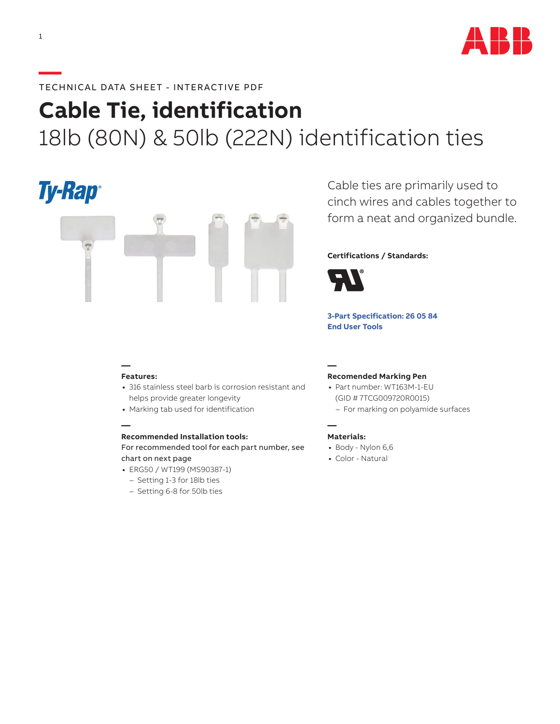

# **—**TECHNICAL DATA SHEET - INTERACTIVE PDF

# **Cable Tie, identification** 18lb (80N) & 50lb (222N) identification ties

# **Ty-Rap**



Cable ties are primarily used to cinch wires and cables together to form a neat and organized bundle.

## **Certifications / Standards:**



**[3-Part Specification: 2](http://www-public.tnb.com/ps/pubint/specguide.cgi)6 05 84 [End User Tools](http://tnb.abb.com/pub/en/node/258)**

### **— Features:**

**—**

- **•** 316 stainless steel barb is corrosion resistant and helps provide greater longevity
- **•** Marking tab used for identification

#### **Recommended Installation tools:**

For recommended tool for each part number, see chart on next page

- **•** ERG50 / WT199 (MS90387-1)
- Setting 1-3 for 18lb ties
- Setting 6-8 for 50lb ties

### **Recomended Marking Pen**

- **•** Part number: WT163M-1-EU (GID # 7TCG009720R0015)
	- For marking on polyamide surfaces

#### **— Materials:**

**—**

- **•** Body Nylon 6,6
- **•** Color Natural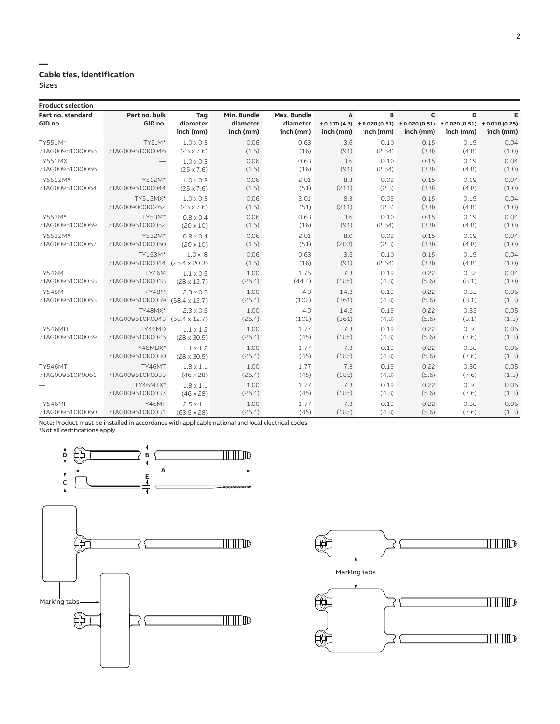## **Cable ties, identification**

Sizes

**—**

| <b>Product selection</b> |                 |                      |             |             |           |           |                                                                                               |           |           |
|--------------------------|-----------------|----------------------|-------------|-------------|-----------|-----------|-----------------------------------------------------------------------------------------------|-----------|-----------|
| Part no. standard        | Part no. bulk   | Tag                  | Min. Bundle | Max. Bundle | A         | в         | C                                                                                             | D         | Е         |
| GID no.                  | GID no.         | diameter             | diameter    | diameter    |           |           | $\pm$ 0.170 (4.3) $\pm$ 0.020 (0.51) $\pm$ 0.020 (0.51) $\pm$ 0.020 (0.51) $\pm$ 0.010 (0.25) |           |           |
|                          |                 | inch (mm)            | inch (mm)   | inch (mm)   | inch (mm) | inch (mm) | inch (mm)                                                                                     | inch (mm) | inch (mm) |
| TY551M*                  | TY51M*          | $1.0 \times 0.3$     | 0.06        | 0.63        | 3.6       | 0.10      | 0.15                                                                                          | 0.19      | 0.04      |
| 7TAG009510R0065          | 7TAG009510R0046 | $(25 \times 7.6)$    | (1.5)       | (16)        | (91)      | (2.54)    | (3.8)                                                                                         | (4.8)     | (1.0)     |
| <b>TY551MX</b>           |                 | $1.0 \times 0.3$     | 0.06        | 0.63        | 3.6       | 0.10      | 0.15                                                                                          | 0.19      | 0.04      |
| 7TAG009510R0066          |                 | $(25 \times 7.6)$    | (1.5)       | (16)        | (91)      | (2.54)    | (3.8)                                                                                         | (4.8)     | (1.0)     |
| TY5512M*                 | TY512M*         | $1.0 \times 0.3$     | 0.06        | 2.01        | 8.3       | 0.09      | 0.15                                                                                          | 0.19      | 0.04      |
| 7TAG009510R0064          | 7TAG009510R0044 | $(25 \times 7.6)$    | (1.5)       | (51)        | (211)     | (2.3)     | (3.8)                                                                                         | (4.8)     | (1.0)     |
|                          | TY512MX*        | $1.0 \times 0.3$     | 0.06        | 2.01        | 8.3       | 0.09      | 0.15                                                                                          | 0.19      | 0.04      |
|                          | 7TAG009000R0262 | $(25 \times 7.6)$    | (1.5)       | (51)        | (211)     | (2.3)     | (3.8)                                                                                         | (4.8)     | (1.0)     |
| TY553M*                  | TY53M*          | $0.8 \times 0.4$     | 0.06        | 0.63        | 3.6       | 0.10      | 0.15                                                                                          | 0.19      | 0.04      |
| 7TAG009510R0069          | 7TAG009510R0052 | $(20 \times 10)$     | (1.5)       | (16)        | (91)      | (2.54)    | (3.8)                                                                                         | (4.8)     | (1.0)     |
| TY5532M*                 | TY532M*         | $0.8 \times 0.4$     | 0.06        | 2.01        | 8.0       | 0.09      | 0.15                                                                                          | 0.19      | 0.04      |
| 7TAG009510R0067          | 7TAG009510R0050 | $(20 \times 10)$     | (1.5)       | (51)        | (203)     | (2.3)     | (3.8)                                                                                         | (4.8)     | (1.0)     |
|                          | TY153M*         | $1.0 \times .8$      | 0.06        | 0.63        | 3.6       | 0.10      | 0.15                                                                                          | 0.19      | 0.04      |
|                          | 7TAG009510R0014 | $(25.4 \times 20.3)$ | (1.5)       | (16)        | (91)      | (2.54)    | (3.8)                                                                                         | (4.8)     | (1.0)     |
| <b>TY546M</b>            | <b>TY46M</b>    | $1.1 \times 0.5$     | 1.00        | 1.75        | 7.3       | 0.19      | 0.22                                                                                          | 0.32      | 0.04      |
| 7TAG009510R0058          | 7TAG009510R0018 | $(28 \times 12.7)$   | (25.4)      | (44.4)      | (185)     | (4.8)     | (5.6)                                                                                         | (8.1)     | (1.0)     |
| <b>TY548M</b>            | <b>TY48M</b>    | $2.3 \times 0.5$     | 1.00        | 4.0         | 14.2      | 0.19      | 0.22                                                                                          | 0.32      | 0.05      |
| 7TAG009510R0063          | 7TAG009510R0039 | $(58.4 \times 12.7)$ | (25.4)      | (102)       | (361)     | (4.8)     | (5.6)                                                                                         | (8.1)     | (1.3)     |
|                          | TY48MX*         | $2.3 \times 0.5$     | 1.00        | 4.0         | 14.2      | 0.19      | 0.22                                                                                          | 0.32      | 0.05      |
|                          | 7TAG009510R0043 | $(58.4 \times 12.7)$ | (25.4)      | (102)       | (361)     | (4.8)     | (5.6)                                                                                         | (8.1)     | (1.3)     |
| <b>TY546MD</b>           | TY46MD          | $1.1 \times 1.2$     | 1.00        | 1.77        | 7.3       | 0.19      | 0.22                                                                                          | 0.30      | 0.05      |
| 7TAG009510R0059          | 7TAG009510R0025 | $(28 \times 30.5)$   | (25.4)      | (45)        | (185)     | (4.8)     | (5.6)                                                                                         | (7.6)     | (1.3)     |
|                          | TY46MDX*        | $1.1 \times 1.2$     | 1.00        | 1.77        | 7.3       | 0.19      | 0.22                                                                                          | 0.30      | 0.05      |
|                          | 7TAG009510R0030 | $(28 \times 30.5)$   | (25.4)      | (45)        | (185)     | (4.8)     | (5.6)                                                                                         | (7.6)     | (1.3)     |
| <b>TY546MT</b>           | TY46MT          | $1.8 \times 1.1$     | 1.00        | 1.77        | 7.3       | 0.19      | 0.22                                                                                          | 0.30      | 0.05      |
| 7TAG009510R0061          | 7TAG009510R0033 | $(46 \times 28)$     | (25.4)      | (45)        | (185)     | (4.8)     | (5.6)                                                                                         | (7.6)     | (1.3)     |
|                          | TY46MTX*        | $1.8 \times 1.1$     | 1.00        | 1.77        | 7.3       | 0.19      | 0.22                                                                                          | 0.30      | 0.05      |
|                          | 7TAG009510R0037 | $(46 \times 28)$     | (25.4)      | (45)        | (185)     | (4.8)     | (5.6)                                                                                         | (7.6)     | (1.3)     |
| <b>TY546MF</b>           | TY46MF          | $2.5 \times 1.1$     | 1.00        | 1.77        | 7.3       | 0.19      | 0.22                                                                                          | 0.30      | 0.05      |
| 7TAG009510R0060          | 7TAG009510R0031 | $(63.5 \times 28)$   | (25.4)      | (45)        | (185)     | (4.8)     | (5.6)                                                                                         | (7.6)     | (1.3)     |

Note: Product must be installed in accordance with applicable national and local electrical codes. \*Not all certifications apply.